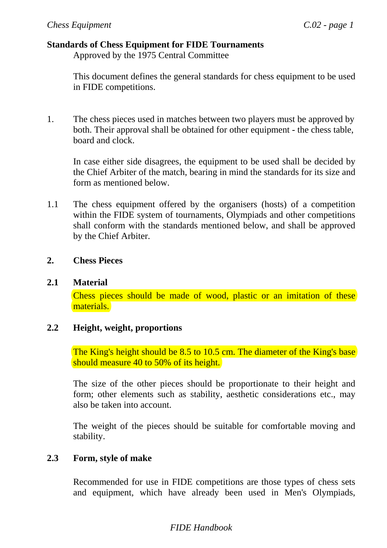### **Standards of Chess Equipment for FIDE Tournaments**

Approved by the 1975 Central Committee

This document defines the general standards for chess equipment to be used in FIDE competitions.

1. The chess pieces used in matches between two players must be approved by both. Their approval shall be obtained for other equipment - the chess table, board and clock.

In case either side disagrees, the equipment to be used shall be decided by the Chief Arbiter of the match, bearing in mind the standards for its size and form as mentioned below.

1.1 The chess equipment offered by the organisers (hosts) of a competition within the FIDE system of tournaments, Olympiads and other competitions shall conform with the standards mentioned below, and shall be approved by the Chief Arbiter.

## **2. Chess Pieces**

### **2.1 Material**

Chess pieces should be made of wood, plastic or an imitation of these materials.

# **2.2 Height, weight, proportions**

The King's height should be 8.5 to 10.5 cm. The diameter of the King's base should measure 40 to 50% of its height.

The size of the other pieces should be proportionate to their height and form; other elements such as stability, aesthetic considerations etc., may also be taken into account.

The weight of the pieces should be suitable for comfortable moving and stability.

## **2.3 Form, style of make**

Recommended for use in FIDE competitions are those types of chess sets and equipment, which have already been used in Men's Olympiads,

# *FIDE Handbook*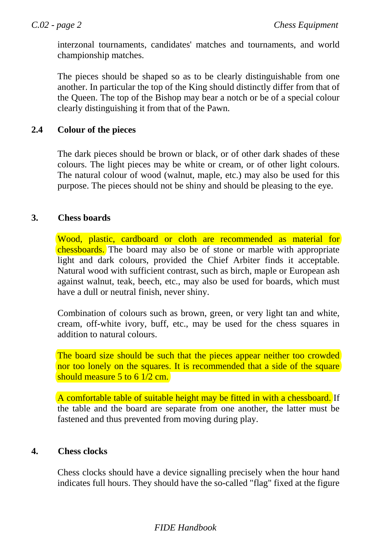interzonal tournaments, candidates' matches and tournaments, and world championship matches.

The pieces should be shaped so as to be clearly distinguishable from one another. In particular the top of the King should distinctly differ from that of the Queen. The top of the Bishop may bear a notch or be of a special colour clearly distinguishing it from that of the Pawn.

# **2.4 Colour of the pieces**

The dark pieces should be brown or black, or of other dark shades of these colours. The light pieces may be white or cream, or of other light colours. The natural colour of wood (walnut, maple, etc.) may also be used for this purpose. The pieces should not be shiny and should be pleasing to the eye.

## **3. Chess boards**

Wood, plastic, cardboard or cloth are recommended as material for chessboards. The board may also be of stone or marble with appropriate light and dark colours, provided the Chief Arbiter finds it acceptable. Natural wood with sufficient contrast, such as birch, maple or European ash against walnut, teak, beech, etc., may also be used for boards, which must have a dull or neutral finish, never shiny.

Combination of colours such as brown, green, or very light tan and white, cream, off-white ivory, buff, etc., may be used for the chess squares in addition to natural colours.

The board size should be such that the pieces appear neither too crowded nor too lonely on the squares. It is recommended that a side of the square should measure 5 to 6 1/2 cm.

A comfortable table of suitable height may be fitted in with a chessboard. If the table and the board are separate from one another, the latter must be fastened and thus prevented from moving during play.

## **4. Chess clocks**

Chess clocks should have a device signalling precisely when the hour hand indicates full hours. They should have the so-called "flag" fixed at the figure